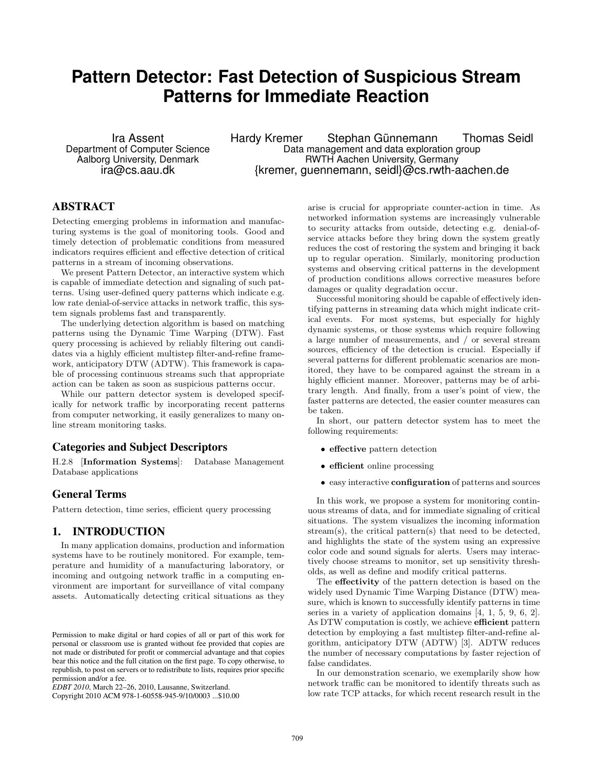# **Pattern Detector: Fast Detection of Suspicious Stream Patterns for Immediate Reaction**

Ira Assent Department of Computer Science Aalborg University, Denmark ira@cs.aau.dk

Hardy Kremer Stephan Günnemann Thomas Seidl Data management and data exploration group RWTH Aachen University, Germany {kremer, guennemann, seidl}@cs.rwth-aachen.de

### ABSTRACT

Detecting emerging problems in information and manufacturing systems is the goal of monitoring tools. Good and timely detection of problematic conditions from measured indicators requires efficient and effective detection of critical patterns in a stream of incoming observations.

We present Pattern Detector, an interactive system which is capable of immediate detection and signaling of such patterns. Using user-defined query patterns which indicate e.g. low rate denial-of-service attacks in network traffic, this system signals problems fast and transparently.

The underlying detection algorithm is based on matching patterns using the Dynamic Time Warping (DTW). Fast query processing is achieved by reliably filtering out candidates via a highly efficient multistep filter-and-refine framework, anticipatory DTW (ADTW). This framework is capable of processing continuous streams such that appropriate action can be taken as soon as suspicious patterns occur.

While our pattern detector system is developed specifically for network traffic by incorporating recent patterns from computer networking, it easily generalizes to many online stream monitoring tasks.

# Categories and Subject Descriptors

H.2.8 [Information Systems]: Database Management Database applications

#### General Terms

Pattern detection, time series, efficient query processing

#### 1. INTRODUCTION

In many application domains, production and information systems have to be routinely monitored. For example, temperature and humidity of a manufacturing laboratory, or incoming and outgoing network traffic in a computing environment are important for surveillance of vital company assets. Automatically detecting critical situations as they

Copyright 2010 ACM 978-1-60558-945-9/10/0003 ...\$10.00

arise is crucial for appropriate counter-action in time. As networked information systems are increasingly vulnerable to security attacks from outside, detecting e.g. denial-ofservice attacks before they bring down the system greatly reduces the cost of restoring the system and bringing it back up to regular operation. Similarly, monitoring production systems and observing critical patterns in the development of production conditions allows corrective measures before damages or quality degradation occur.

Successful monitoring should be capable of effectively identifying patterns in streaming data which might indicate critical events. For most systems, but especially for highly dynamic systems, or those systems which require following a large number of measurements, and / or several stream sources, efficiency of the detection is crucial. Especially if several patterns for different problematic scenarios are monitored, they have to be compared against the stream in a highly efficient manner. Moreover, patterns may be of arbitrary length. And finally, from a user's point of view, the faster patterns are detected, the easier counter measures can be taken.

In short, our pattern detector system has to meet the following requirements:

- effective pattern detection
- efficient online processing
- easy interactive configuration of patterns and sources

In this work, we propose a system for monitoring continuous streams of data, and for immediate signaling of critical situations. The system visualizes the incoming information stream(s), the critical pattern(s) that need to be detected, and highlights the state of the system using an expressive color code and sound signals for alerts. Users may interactively choose streams to monitor, set up sensitivity thresholds, as well as define and modify critical patterns.

The effectivity of the pattern detection is based on the widely used Dynamic Time Warping Distance (DTW) measure, which is known to successfully identify patterns in time series in a variety of application domains [4, 1, 5, 9, 6, 2]. As DTW computation is costly, we achieve efficient pattern detection by employing a fast multistep filter-and-refine algorithm, anticipatory DTW (ADTW) [3]. ADTW reduces the number of necessary computations by faster rejection of false candidates.

In our demonstration scenario, we exemplarily show how network traffic can be monitored to identify threats such as low rate TCP attacks, for which recent research result in the

Permission to make digital or hard copies of all or part of this work for personal or classroom use is granted without fee provided that copies are not made or distributed for profit or commercial advantage and that copies bear this notice and the full citation on the first page. To copy otherwise, to republish, to post on servers or to redistribute to lists, requires prior specific permission and/or a fee.

*EDBT 2010*, March 22–26, 2010, Lausanne, Switzerland.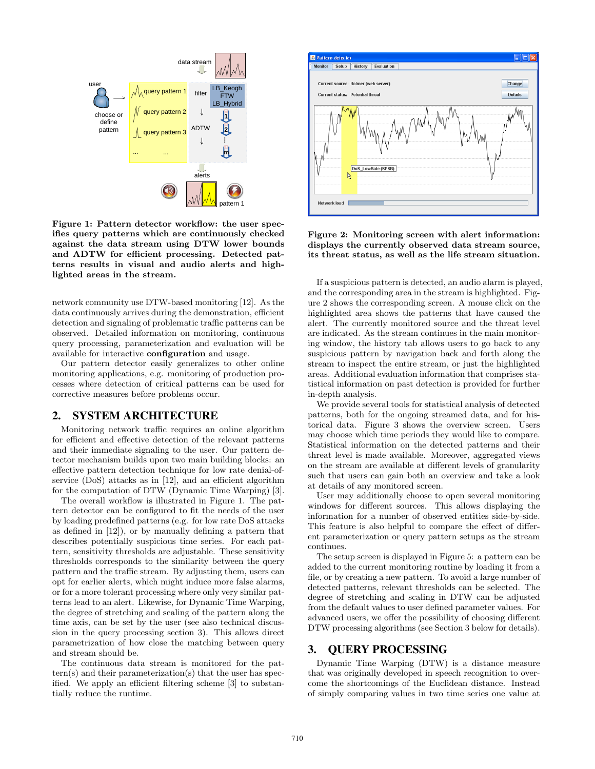

Figure 1: Pattern detector workflow: the user specifies query patterns which are continuously checked against the data stream using DTW lower bounds and ADTW for efficient processing. Detected patterns results in visual and audio alerts and highlighted areas in the stream.

network community use DTW-based monitoring [12]. As the data continuously arrives during the demonstration, efficient detection and signaling of problematic traffic patterns can be observed. Detailed information on monitoring, continuous query processing, parameterization and evaluation will be available for interactive configuration and usage.

Our pattern detector easily generalizes to other online monitoring applications, e.g. monitoring of production processes where detection of critical patterns can be used for corrective measures before problems occur.

### 2. SYSTEM ARCHITECTURE

Monitoring network traffic requires an online algorithm for efficient and effective detection of the relevant patterns and their immediate signaling to the user. Our pattern detector mechanism builds upon two main building blocks: an effective pattern detection technique for low rate denial-ofservice (DoS) attacks as in [12], and an efficient algorithm for the computation of DTW (Dynamic Time Warping) [3].

The overall workflow is illustrated in Figure 1. The pattern detector can be configured to fit the needs of the user by loading predefined patterns (e.g. for low rate DoS attacks as defined in [12]), or by manually defining a pattern that describes potentially suspicious time series. For each pattern, sensitivity thresholds are adjustable. These sensitivity thresholds corresponds to the similarity between the query pattern and the traffic stream. By adjusting them, users can opt for earlier alerts, which might induce more false alarms, or for a more tolerant processing where only very similar patterns lead to an alert. Likewise, for Dynamic Time Warping, the degree of stretching and scaling of the pattern along the time axis, can be set by the user (see also technical discussion in the query processing section 3). This allows direct parametrization of how close the matching between query and stream should be.

The continuous data stream is monitored for the pattern(s) and their parameterization(s) that the user has specified. We apply an efficient filtering scheme [3] to substantially reduce the runtime.



Figure 2: Monitoring screen with alert information: displays the currently observed data stream source, its threat status, as well as the life stream situation.

If a suspicious pattern is detected, an audio alarm is played, and the corresponding area in the stream is highlighted. Figure 2 shows the corresponding screen. A mouse click on the highlighted area shows the patterns that have caused the alert. The currently monitored source and the threat level are indicated. As the stream continues in the main monitoring window, the history tab allows users to go back to any suspicious pattern by navigation back and forth along the stream to inspect the entire stream, or just the highlighted areas. Additional evaluation information that comprises statistical information on past detection is provided for further in-depth analysis.

We provide several tools for statistical analysis of detected patterns, both for the ongoing streamed data, and for historical data. Figure 3 shows the overview screen. Users may choose which time periods they would like to compare. Statistical information on the detected patterns and their threat level is made available. Moreover, aggregated views on the stream are available at different levels of granularity such that users can gain both an overview and take a look at details of any monitored screen.

User may additionally choose to open several monitoring windows for different sources. This allows displaying the information for a number of observed entities side-by-side. This feature is also helpful to compare the effect of different parameterization or query pattern setups as the stream continues.

The setup screen is displayed in Figure 5: a pattern can be added to the current monitoring routine by loading it from a file, or by creating a new pattern. To avoid a large number of detected patterns, relevant thresholds can be selected. The degree of stretching and scaling in DTW can be adjusted from the default values to user defined parameter values. For advanced users, we offer the possibility of choosing different DTW processing algorithms (see Section 3 below for details).

# 3. QUERY PROCESSING

Dynamic Time Warping (DTW) is a distance measure that was originally developed in speech recognition to overcome the shortcomings of the Euclidean distance. Instead of simply comparing values in two time series one value at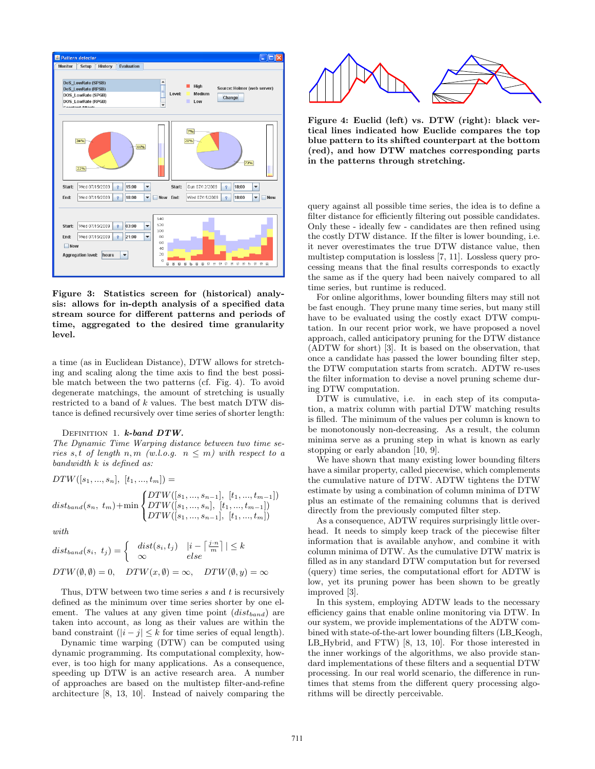

Figure 3: Statistics screen for (historical) analysis: allows for in-depth analysis of a specified data stream source for different patterns and periods of time, aggregated to the desired time granularity level.

a time (as in Euclidean Distance), DTW allows for stretching and scaling along the time axis to find the best possible match between the two patterns (cf. Fig. 4). To avoid degenerate matchings, the amount of stretching is usually restricted to a band of k values. The best match DTW distance is defined recursively over time series of shorter length:

#### DEFINITION 1.  $k$ -band  $DTW$ .

The Dynamic Time Warping distance between two time series s, t of length n, m (w.l.o.g.  $n \leq m$ ) with respect to a  $bandwidth k$  is defined as:

$$
DTW([s_1, ..., s_n], [t_1, ..., t_m]) =
$$
  

$$
dist_{band}(s_n, t_m) + \min \begin{cases} DTW([s_1, ..., s_{n-1}], [t_1, ..., t_{m-1}]) \\ DTW([s_1, ..., s_n], [t_1, ..., t_{m-1}]) \\ DTW([s_1, ..., s_{n-1}], [t_1, ..., t_m]) \end{cases}
$$

with.

$$
dist_{band}(s_i, t_j) = \begin{cases} dist(s_i, t_j) & |i - \left\lceil \frac{j \cdot n}{m} \right\rceil | \le k \\ \infty & else \end{cases}
$$
\n
$$
DTW(\emptyset, \emptyset) = 0, \quad DTW(x, \emptyset) = \infty, \quad DTW(\emptyset, y) = \infty
$$

Thus, DTW between two time series  $s$  and  $t$  is recursively defined as the minimum over time series shorter by one element. The values at any given time point  $(dist_{band})$  are taken into account, as long as their values are within the band constraint  $(|i - j| \leq k$  for time series of equal length).

Dynamic time warping (DTW) can be computed using dynamic programming. Its computational complexity, however, is too high for many applications. As a consequence, speeding up DTW is an active research area. A number of approaches are based on the multistep filter-and-refine architecture [8, 13, 10]. Instead of naively comparing the



Figure 4: Euclid (left) vs. DTW (right): black vertical lines indicated how Euclide compares the top blue pattern to its shifted counterpart at the bottom (red), and how DTW matches corresponding parts in the patterns through stretching.

query against all possible time series, the idea is to define a filter distance for efficiently filtering out possible candidates. Only these - ideally few - candidates are then refined using the costly DTW distance. If the filter is lower bounding, i.e. it never overestimates the true DTW distance value, then multistep computation is lossless [7, 11]. Lossless query processing means that the final results corresponds to exactly the same as if the query had been naively compared to all time series, but runtime is reduced.

For online algorithms, lower bounding filters may still not be fast enough. They prune many time series, but many still have to be evaluated using the costly exact DTW computation. In our recent prior work, we have proposed a novel approach, called anticipatory pruning for the DTW distance (ADTW for short) [3]. It is based on the observation, that once a candidate has passed the lower bounding filter step, the DTW computation starts from scratch. ADTW re-uses the filter information to devise a novel pruning scheme during DTW computation.

DTW is cumulative, i.e. in each step of its computation, a matrix column with partial DTW matching results is filled. The minimum of the values per column is known to be monotonously non-decreasing. As a result, the column minima serve as a pruning step in what is known as early stopping or early abandon [10, 9].

We have shown that many existing lower bounding filters have a similar property, called piecewise, which complements the cumulative nature of DTW. ADTW tightens the DTW estimate by using a combination of column minima of DTW plus an estimate of the remaining columns that is derived directly from the previously computed filter step.

As a consequence, ADTW requires surprisingly little overhead. It needs to simply keep track of the piecewise filter information that is available anyhow, and combine it with column minima of DTW. As the cumulative DTW matrix is filled as in any standard DTW computation but for reversed (query) time series, the computational effort for ADTW is low, yet its pruning power has been shown to be greatly improved [3].

In this system, employing ADTW leads to the necessary efficiency gains that enable online monitoring via DTW. In our system, we provide implementations of the ADTW combined with state-of-the-art lower bounding filters (LB Keogh, LB Hybrid, and FTW) [8, 13, 10]. For those interested in the inner workings of the algorithms, we also provide standard implementations of these filters and a sequential DTW processing. In our real world scenario, the difference in runtimes that stems from the different query processing algorithms will be directly perceivable.